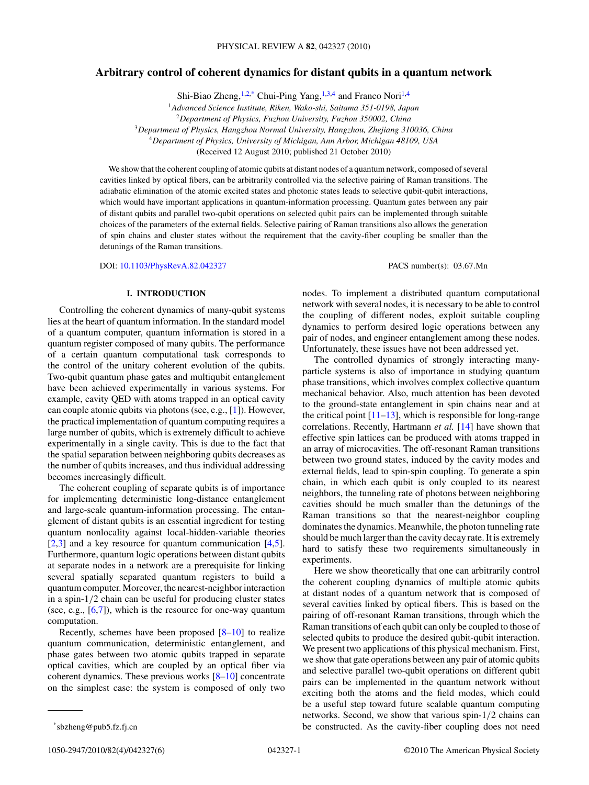# **Arbitrary control of coherent dynamics for distant qubits in a quantum network**

Shi-Biao Zheng,  $1,2,3$ <sup>+</sup> Chui-Ping Yang,  $1,3,4$  and Franco Nori<sup>1,4</sup>

<sup>1</sup>*Advanced Science Institute, Riken, Wako-shi, Saitama 351-0198, Japan*

<sup>2</sup>*Department of Physics, Fuzhou University, Fuzhou 350002, China*

<sup>3</sup>*Department of Physics, Hangzhou Normal University, Hangzhou, Zhejiang 310036, China*

<sup>4</sup>*Department of Physics, University of Michigan, Ann Arbor, Michigan 48109, USA*

(Received 12 August 2010; published 21 October 2010)

We show that the coherent coupling of atomic qubits at distant nodes of a quantum network, composed of several cavities linked by optical fibers, can be arbitrarily controlled via the selective pairing of Raman transitions. The adiabatic elimination of the atomic excited states and photonic states leads to selective qubit-qubit interactions, which would have important applications in quantum-information processing. Quantum gates between any pair of distant qubits and parallel two-qubit operations on selected qubit pairs can be implemented through suitable choices of the parameters of the external fields. Selective pairing of Raman transitions also allows the generation of spin chains and cluster states without the requirement that the cavity-fiber coupling be smaller than the detunings of the Raman transitions.

DOI: [10.1103/PhysRevA.82.042327](http://dx.doi.org/10.1103/PhysRevA.82.042327) PACS number(s): 03*.*67*.*Mn

### **I. INTRODUCTION**

Controlling the coherent dynamics of many-qubit systems lies at the heart of quantum information. In the standard model of a quantum computer, quantum information is stored in a quantum register composed of many qubits. The performance of a certain quantum computational task corresponds to the control of the unitary coherent evolution of the qubits. Two-qubit quantum phase gates and multiqubit entanglement have been achieved experimentally in various systems. For example, cavity QED with atoms trapped in an optical cavity can couple atomic qubits via photons (see, e.g., [\[1\]](#page-4-0)). However, the practical implementation of quantum computing requires a large number of qubits, which is extremely difficult to achieve experimentally in a single cavity. This is due to the fact that the spatial separation between neighboring qubits decreases as the number of qubits increases, and thus individual addressing becomes increasingly difficult.

The coherent coupling of separate qubits is of importance for implementing deterministic long-distance entanglement and large-scale quantum-information processing. The entanglement of distant qubits is an essential ingredient for testing quantum nonlocality against local-hidden-variable theories [\[2,3\]](#page-4-0) and a key resource for quantum communication [\[4,5\]](#page-4-0). Furthermore, quantum logic operations between distant qubits at separate nodes in a network are a prerequisite for linking several spatially separated quantum registers to build a quantum computer. Moreover, the nearest-neighbor interaction in a spin-1*/*2 chain can be useful for producing cluster states (see, e.g., [\[6,7\]](#page-4-0)), which is the resource for one-way quantum computation.

Recently, schemes have been proposed [\[8–](#page-4-0)[10\]](#page-5-0) to realize quantum communication, deterministic entanglement, and phase gates between two atomic qubits trapped in separate optical cavities, which are coupled by an optical fiber via coherent dynamics. These previous works  $[8-10]$  $[8-10]$  concentrate on the simplest case: the system is composed of only two

The controlled dynamics of strongly interacting manyparticle systems is also of importance in studying quantum phase transitions, which involves complex collective quantum mechanical behavior. Also, much attention has been devoted to the ground-state entanglement in spin chains near and at the critical point  $[11-13]$ , which is responsible for long-range correlations. Recently, Hartmann *et al.* [\[14\]](#page-5-0) have shown that effective spin lattices can be produced with atoms trapped in an array of microcavities. The off-resonant Raman transitions between two ground states, induced by the cavity modes and external fields, lead to spin-spin coupling. To generate a spin chain, in which each qubit is only coupled to its nearest neighbors, the tunneling rate of photons between neighboring cavities should be much smaller than the detunings of the Raman transitions so that the nearest-neighbor coupling dominates the dynamics. Meanwhile, the photon tunneling rate should be much larger than the cavity decay rate. It is extremely hard to satisfy these two requirements simultaneously in experiments.

Here we show theoretically that one can arbitrarily control the coherent coupling dynamics of multiple atomic qubits at distant nodes of a quantum network that is composed of several cavities linked by optical fibers. This is based on the pairing of off-resonant Raman transitions, through which the Raman transitions of each qubit can only be coupled to those of selected qubits to produce the desired qubit-qubit interaction. We present two applications of this physical mechanism. First, we show that gate operations between any pair of atomic qubits and selective parallel two-qubit operations on different qubit pairs can be implemented in the quantum network without exciting both the atoms and the field modes, which could be a useful step toward future scalable quantum computing networks. Second, we show that various spin-1*/*2 chains can be constructed. As the cavity-fiber coupling does not need

nodes. To implement a distributed quantum computational network with several nodes, it is necessary to be able to control the coupling of different nodes, exploit suitable coupling dynamics to perform desired logic operations between any pair of nodes, and engineer entanglement among these nodes. Unfortunately, these issues have not been addressed yet.

<sup>\*</sup>sbzheng@pub5.fz.fj.cn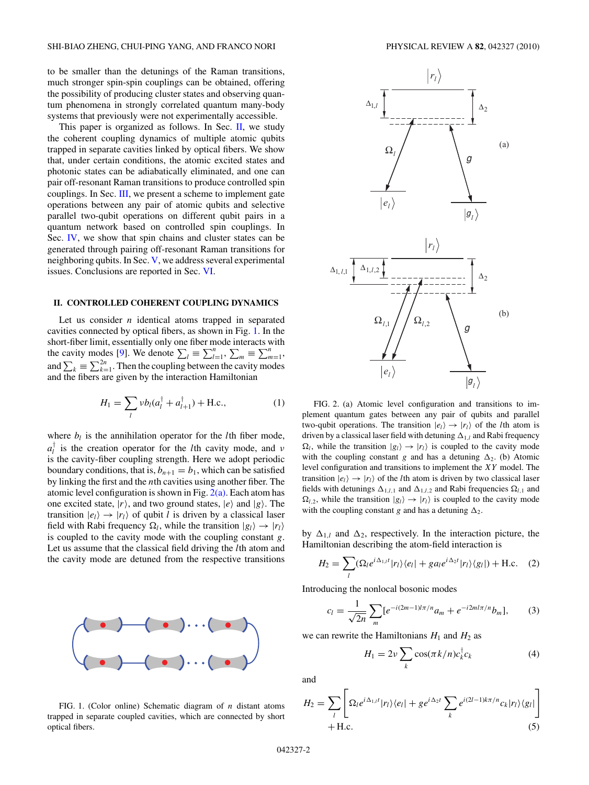<span id="page-1-0"></span>to be smaller than the detunings of the Raman transitions, much stronger spin-spin couplings can be obtained, offering the possibility of producing cluster states and observing quantum phenomena in strongly correlated quantum many-body systems that previously were not experimentally accessible.

This paper is organized as follows. In Sec.  $II$ , we study the coherent coupling dynamics of multiple atomic qubits trapped in separate cavities linked by optical fibers. We show that, under certain conditions, the atomic excited states and photonic states can be adiabatically eliminated, and one can pair off-resonant Raman transitions to produce controlled spin couplings. In Sec. [III,](#page-2-0) we present a scheme to implement gate operations between any pair of atomic qubits and selective parallel two-qubit operations on different qubit pairs in a quantum network based on controlled spin couplings. In Sec. [IV,](#page-3-0) we show that spin chains and cluster states can be generated through pairing off-resonant Raman transitions for neighboring qubits. In Sec. [V,](#page-4-0) we address several experimental issues. Conclusions are reported in Sec. [VI.](#page-4-0)

#### **II. CONTROLLED COHERENT COUPLING DYNAMICS**

Let us consider *n* identical atoms trapped in separated cavities connected by optical fibers, as shown in Fig. 1. In the short-fiber limit, essentially only one fiber mode interacts with the cavity modes [\[9\]](#page-4-0). We denote  $\sum_{l} \equiv \sum_{l=1}^{n}$ ,  $\sum_{m} \equiv \sum_{m=1}^{n}$ , and  $\sum_{k} \equiv \sum_{k=1}^{2n}$ . Then the coupling between the cavity modes and the fibers are given by the interaction Hamiltonian

$$
H_1 = \sum_l v b_l (a_l^\dagger + a_{l+1}^\dagger) + \text{H.c.},
$$
 (1)

where  $b_l$  is the annihilation operator for the *l*th fiber mode, *a*† *<sup>l</sup>* is the creation operator for the *l*th cavity mode, and *ν* is the cavity-fiber coupling strength. Here we adopt periodic boundary conditions, that is,  $b_{n+1} = b_1$ , which can be satisfied by linking the first and the *n*th cavities using another fiber. The atomic level configuration is shown in Fig.  $2(a)$ . Each atom has one excited state,  $|r\rangle$ , and two ground states,  $|e\rangle$  and  $|g\rangle$ . The transition  $|e_l\rangle \rightarrow |r_l\rangle$  of qubit *l* is driven by a classical laser field with Rabi frequency  $\Omega_l$ , while the transition  $|g_l\rangle \rightarrow |r_l\rangle$ is coupled to the cavity mode with the coupling constant *g*. Let us assume that the classical field driving the *l*th atom and the cavity mode are detuned from the respective transitions



FIG. 1. (Color online) Schematic diagram of *n* distant atoms trapped in separate coupled cavities, which are connected by short optical fibers.



FIG. 2. (a) Atomic level configuration and transitions to implement quantum gates between any pair of qubits and parallel two-qubit operations. The transition  $|e_l\rangle \rightarrow |r_l\rangle$  of the *l*th atom is driven by a classical laser field with detuning  $\Delta_{1,l}$  and Rabi frequency  $\Omega_l$ , while the transition  $|g_l\rangle \rightarrow |r_l\rangle$  is coupled to the cavity mode with the coupling constant *g* and has a detuning  $\Delta_2$ . (b) Atomic level configuration and transitions to implement the *XY* model. The transition  $|e_l\rangle \rightarrow |r_l\rangle$  of the *l*th atom is driven by two classical laser fields with detunings  $\Delta_{1,l,1}$  and  $\Delta_{1,l,2}$  and Rabi frequencies  $\Omega_{l,1}$  and  $\Omega_{l,2}$ , while the transition  $|g_l\rangle \rightarrow |r_l\rangle$  is coupled to the cavity mode with the coupling constant *g* and has a detuning  $\Delta_2$ .

by  $\Delta_{1,l}$  and  $\Delta_2$ , respectively. In the interaction picture, the Hamiltonian describing the atom-field interaction is

$$
H_2 = \sum_{l} \langle \Omega_l e^{i\Delta_{1,l}t} |r_l \rangle \langle e_l| + g a_l e^{i\Delta_{2}t} |r_l \rangle \langle g_l|) + \text{H.c.} \quad (2)
$$

Introducing the nonlocal bosonic modes

$$
c_l = \frac{1}{\sqrt{2n}} \sum_{m} [e^{-i(2m-1)l\pi/n} a_m + e^{-i2ml\pi/n} b_m], \qquad (3)
$$

we can rewrite the Hamiltonians  $H_1$  and  $H_2$  as

$$
H_1 = 2\nu \sum_k \cos(\pi k/n) c_k^{\dagger} c_k \tag{4}
$$

and

$$
H_2 = \sum_{l} \left[ \Omega_l e^{i\Delta_{1,l}t} |r_l\rangle \langle e_l| + g e^{i\Delta_{2}t} \sum_{k} e^{i(2l-1)k\pi/n} c_k |r_l\rangle \langle g_l| \right] + \text{H.c.}
$$
\n(5)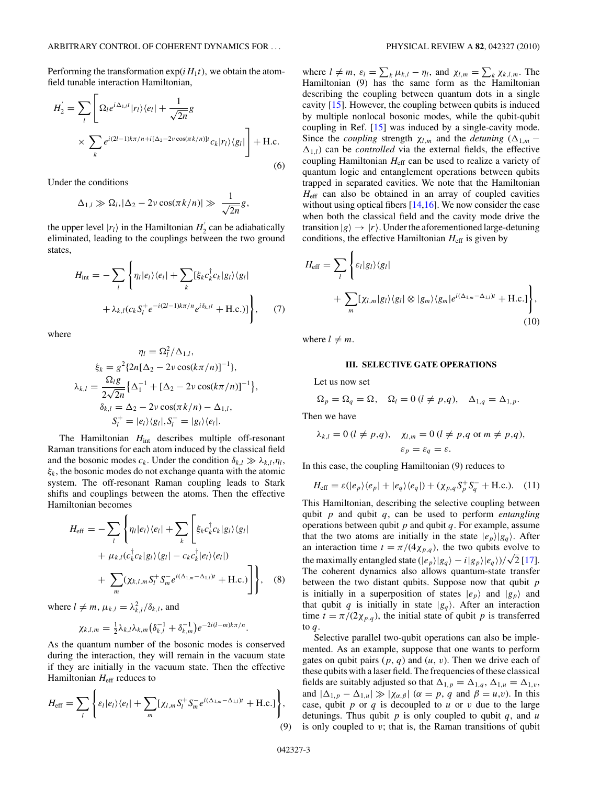<span id="page-2-0"></span>Performing the transformation  $exp(iH_1t)$ , we obtain the atomfield tunable interaction Hamiltonian,

$$
H_2' = \sum_{l} \left[ \Omega_l e^{i \Delta_{1,l} t} |r_l\rangle \langle e_l| + \frac{1}{\sqrt{2n}} g \times \sum_{k} e^{i (2l-1)k\pi/n + i [\Delta_2 - 2\nu \cos(\pi k/n)]t} c_k |r_l\rangle \langle g_l| \right] + \text{H.c.}
$$
\n(6)

Under the conditions

$$
\Delta_{1,l} \gg \Omega_l, |\Delta_2 - 2\nu \cos(\pi k/n)| \gg \frac{1}{\sqrt{2n}}g,
$$

the upper level  $|r_l\rangle$  in the Hamiltonian  $H_2^{'}$  can be adiabatically eliminated, leading to the couplings between the two ground states,

$$
H_{\rm int} = -\sum_{l} \left\{ \eta_{l} |e_{l} \rangle \langle e_{l}| + \sum_{k} [\xi_{k} c_{k}^{\dagger} c_{k} |g_{l} \rangle \langle g_{l}| + \lambda_{k,l} (c_{k} S_{l}^{+} e^{-i(2l-1)k\pi/n} e^{i\delta_{k,l}t} + \text{H.c.})] \right\}, \quad (7)
$$

where

$$
\eta_l = \Omega_l^2 / \Delta_{1,l},
$$
  
\n
$$
\xi_k = g^2 \{2n[\Delta_2 - 2\nu \cos(k\pi/n)]^{-1}\},
$$
  
\n
$$
\lambda_{k,l} = \frac{\Omega_l g}{2\sqrt{2n}} \{\Delta_1^{-1} + [\Delta_2 - 2\nu \cos(k\pi/n)]^{-1}\},
$$
  
\n
$$
\delta_{k,l} = \Delta_2 - 2\nu \cos(\pi k/n) - \Delta_{1,l},
$$
  
\n
$$
S_l^+ = |e_l\rangle\langle g_l|, S_l^- = |g_l\rangle\langle e_l|.
$$

The Hamiltonian *H*<sub>int</sub> describes multiple off-resonant Raman transitions for each atom induced by the classical field and the bosonic modes  $c_k$ . Under the condition  $\delta_{k,l} \gg \lambda_{k,l}$ ,  $\eta_l$ , *ξk*, the bosonic modes do not exchange quanta with the atomic system. The off-resonant Raman coupling leads to Stark shifts and couplings between the atoms. Then the effective Hamiltonian becomes

$$
H_{\text{eff}} = -\sum_{l} \left\{ \eta_{l} |e_{l} \rangle \langle e_{l}| + \sum_{k} \left[ \xi_{k} c_{k}^{\dagger} c_{k} |g_{l} \rangle \langle g_{l}| \right. \right. \\ \left. + \mu_{k,l} (c_{k}^{\dagger} c_{k} |g_{l} \rangle \langle g_{l}| - c_{k} c_{k}^{\dagger} |e_{l} \rangle \langle e_{l}|) \right. \\ \left. + \sum_{m} (\chi_{k,l,m} S_{l}^{+} S_{m}^{-} e^{i(\Delta_{1,m} - \Delta_{1,l})t} + \text{H.c.}) \right] \right\}, \quad (8)
$$

where  $l \neq m$ ,  $\mu_{k,l} = \lambda_{k,l}^2/\delta_{k,l}$ , and

$$
\chi_{k,l,m} = \frac{1}{2} \lambda_{k,l} \lambda_{k,m} \big( \delta_{k,l}^{-1} + \delta_{k,m}^{-1} \big) e^{-2i(l-m)k\pi/n}.
$$

As the quantum number of the bosonic modes is conserved during the interaction, they will remain in the vacuum state if they are initially in the vacuum state. Then the effective Hamiltonian  $H_{\text{eff}}$  reduces to

$$
H_{\text{eff}} = \sum_{l} \left\{ \varepsilon_{l} |e_{l} \rangle \langle e_{l}| + \sum_{m} [\chi_{l,m} S_{l}^{+} S_{m}^{-} e^{i(\Delta_{1,m} - \Delta_{1,l})t} + \text{H.c.}] \right\},\tag{9}
$$

where  $l \neq m$ ,  $\varepsilon_l = \sum_k \mu_{k,l} - \eta_l$ , and  $\chi_{l,m} = \sum_k \chi_{k,l,m}$ . The Hamiltonian (9) has the same form as the Hamiltonian describing the coupling between quantum dots in a single cavity [\[15\]](#page-5-0). However, the coupling between qubits is induced by multiple nonlocal bosonic modes, while the qubit-qubit coupling in Ref. [\[15\]](#page-5-0) was induced by a single-cavity mode. Since the *coupling* strength  $\chi_{l,m}$  and the *detuning* ( $\Delta_{1,m}$  –  $\Delta_{1,l}$ ) can be *controlled* via the external fields, the effective coupling Hamiltonian *H*eff can be used to realize a variety of quantum logic and entanglement operations between qubits trapped in separated cavities. We note that the Hamiltonian *H*eff can also be obtained in an array of coupled cavities without using optical fibers  $[14,16]$ . We now consider the case when both the classical field and the cavity mode drive the transition  $|g\rangle \rightarrow |r\rangle$ . Under the aforementioned large-detuning conditions, the effective Hamiltonian  $H_{\text{eff}}$  is given by

$$
H_{\text{eff}} = \sum_{l} \left\{ \varepsilon_{l} |g_{l}\rangle \langle g_{l}| \right.+ \sum_{m} [\chi_{l,m} |g_{l}\rangle \langle g_{l}| \otimes |g_{m}\rangle \langle g_{m}| e^{i(\Delta_{1,m} - \Delta_{1,l})t} + \text{H.c.}] \right\},
$$
\n(10)

where  $l \neq m$ .

### **III. SELECTIVE GATE OPERATIONS**

Let us now set

$$
\Omega_p = \Omega_q = \Omega, \quad \Omega_l = 0 \ (l \neq p, q), \quad \Delta_{1,q} = \Delta_{1,p}.
$$

Then we have

$$
\lambda_{k,l} = 0 \ (l \neq p,q), \quad \chi_{l,m} = 0 \ (l \neq p,q \text{ or } m \neq p,q),
$$

$$
\varepsilon_p = \varepsilon_q = \varepsilon.
$$

In this case, the coupling Hamiltonian (9) reduces to

$$
H_{\text{eff}} = \varepsilon(|e_p\rangle\langle e_p| + |e_q\rangle\langle e_q|) + (\chi_{p,q}S_p^+S_q^- + \text{H.c.}). \quad (11)
$$

This Hamiltonian, describing the selective coupling between qubit *p* and qubit *q*, can be used to perform *entangling* operations between qubit *p* and qubit *q*. For example, assume that the two atoms are initially in the state  $|e_p\rangle|g_q\rangle$ . After an interaction time  $t = \pi/(4\chi_{p,q})$ , the two qubits evolve to the maximally entangled state  $(|e_p\rangle|g_q\rangle - i|g_p\rangle|e_q\rangle$ )/ $\sqrt{2}$  [\[17\]](#page-5-0). The coherent dynamics also allows quantum-state transfer between the two distant qubits. Suppose now that qubit *p* is initially in a superposition of states  $|e_p\rangle$  and  $|g_p\rangle$  and that qubit *q* is initially in state  $|g_q\rangle$ . After an interaction time  $t = \pi/(2\chi_{p,q})$ , the initial state of qubit *p* is transferred to *q*.

Selective parallel two-qubit operations can also be implemented. As an example, suppose that one wants to perform gates on qubit pairs  $(p, q)$  and  $(u, v)$ . Then we drive each of these qubits with a laser field. The frequencies of these classical fields are suitably adjusted so that  $\Delta_{1,p} = \Delta_{1,q}$ ,  $\Delta_{1,u} = \Delta_{1,v}$ , and  $|\Delta_{1,p} - \Delta_{1,u}| \gg |\chi_{\alpha,\beta}|$  ( $\alpha = p, q$  and  $\beta = u, v$ ). In this case, qubit  $p$  or  $q$  is decoupled to  $u$  or  $v$  due to the large detunings. Thus qubit *p* is only coupled to qubit *q*, and *u* is only coupled to *v*; that is, the Raman transitions of qubit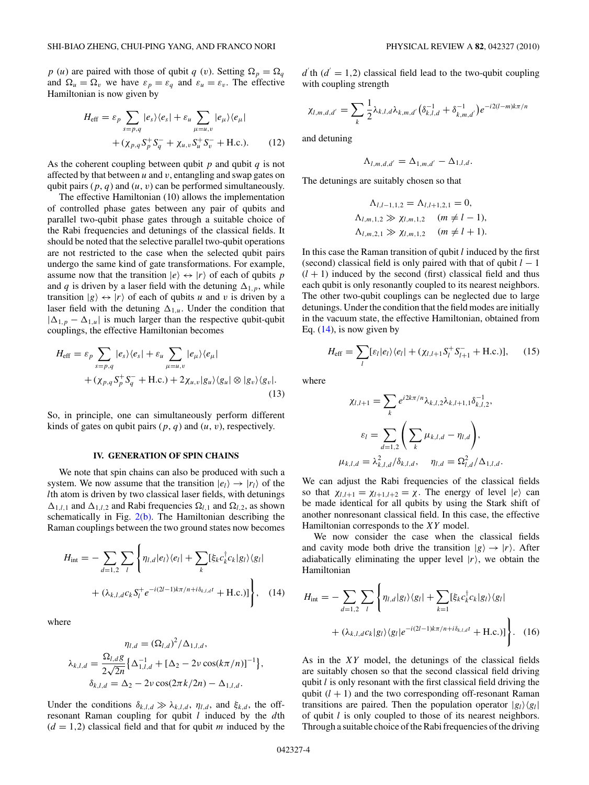<span id="page-3-0"></span>*p* (*u*) are paired with those of qubit *q* (*v*). Setting  $\Omega_p = \Omega_q$ and  $\Omega_u = \Omega_v$  we have  $\varepsilon_p = \varepsilon_q$  and  $\varepsilon_u = \varepsilon_v$ . The effective Hamiltonian is now given by

$$
H_{\text{eff}} = \varepsilon_p \sum_{s=p,q} |e_s\rangle\langle e_s| + \varepsilon_u \sum_{\mu=u,v} |e_\mu\rangle\langle e_\mu|
$$
  
+ 
$$
(\chi_{p,q} S_p^+ S_q^- + \chi_{u,v} S_u^+ S_v^- + \text{H.c.}).
$$
 (12)

As the coherent coupling between qubit *p* and qubit *q* is not affected by that between  $u$  and  $v$ , entangling and swap gates on qubit pairs  $(p, q)$  and  $(u, v)$  can be performed simultaneously.

The effective Hamiltonian (10) allows the implementation of controlled phase gates between any pair of qubits and parallel two-qubit phase gates through a suitable choice of the Rabi frequencies and detunings of the classical fields. It should be noted that the selective parallel two-qubit operations are not restricted to the case when the selected qubit pairs undergo the same kind of gate transformations. For example, assume now that the transition  $|e\rangle \leftrightarrow |r\rangle$  of each of qubits *p* and *q* is driven by a laser field with the detuning  $\Delta_{1,p}$ , while transition  $|g\rangle \leftrightarrow |r\rangle$  of each of qubits *u* and *v* is driven by a laser field with the detuning  $\Delta_{1,u}$ . Under the condition that  $|\Delta_{1,p} - \Delta_{1,u}|$  is much larger than the respective qubit-qubit couplings, the effective Hamiltonian becomes

$$
H_{\text{eff}} = \varepsilon_p \sum_{s=p,q} |e_s\rangle\langle e_s| + \varepsilon_u \sum_{\mu=u,v} |e_\mu\rangle\langle e_\mu|
$$
  
+  $(\chi_{p,q} S_p^+ S_q^- + \text{H.c.}) + 2\chi_{u,v}|g_u\rangle\langle g_u| \otimes |g_v\rangle\langle g_v|.$   
(13)

So, in principle, one can simultaneously perform different kinds of gates on qubit pairs  $(p, q)$  and  $(u, v)$ , respectively.

## **IV. GENERATION OF SPIN CHAINS**

We note that spin chains can also be produced with such a system. We now assume that the transition  $|e_l\rangle \rightarrow |r_l\rangle$  of the *l*th atom is driven by two classical laser fields, with detunings  $\Delta_{1,l,1}$  and  $\Delta_{1,l,2}$  and Rabi frequencies  $\Omega_{l,1}$  and  $\Omega_{l,2}$ , as shown schematically in Fig.  $2(b)$ . The Hamiltonian describing the Raman couplings between the two ground states now becomes

$$
H_{\text{int}} = -\sum_{d=1,2} \sum_{l} \left\{ \eta_{l,d} |e_l \rangle \langle e_l| + \sum_{k} [\xi_k c_k^{\dagger} c_k |g_l \rangle \langle g_l| + (\lambda_{k,l,d} c_k S_l^+ e^{-i(2l-1)k\pi/n + i\delta_{k,l,d}t} + \text{H.c.})] \right\}, \quad (14)
$$

where

$$
\eta_{l,d} = (\Omega_{l,d})^2 / \Delta_{1,l,d},
$$
  

$$
\lambda_{k,l,d} = \frac{\Omega_{l,d}g}{2\sqrt{2n}} \left\{ \Delta_{1,l,d}^{-1} + [\Delta_2 - 2\nu \cos(k\pi/n)]^{-1} \right\},
$$
  

$$
\delta_{k,l,d} = \Delta_2 - 2\nu \cos(2\pi k/2n) - \Delta_{1,l,d}.
$$

Under the conditions  $\delta_{k,l,d} \gg \lambda_{k,l,d}$ ,  $\eta_{l,d}$ , and  $\xi_{k,d}$ , the offresonant Raman coupling for qubit *l* induced by the *d*th  $(d = 1, 2)$  classical field and that for qubit *m* induced by the  $d'$ th ( $d' = 1,2$ ) classical field lead to the two-qubit coupling with coupling strength

$$
\chi_{l,m,d,d'} = \sum_{k} \frac{1}{2} \lambda_{k,l,d} \lambda_{k,m,d'} (\delta_{k,l,d}^{-1} + \delta_{k,m,d'}^{-1}) e^{-i2(l-m)k\pi/n}
$$

and detuning

$$
\Lambda_{l,m,d,d'}=\Delta_{1,m,d'}-\Delta_{1,l,d}.
$$

The detunings are suitably chosen so that

$$
\Lambda_{l,l-1,1,2} = \Lambda_{l,l+1,2,1} = 0,
$$
  
\n
$$
\Lambda_{l,m,1,2} \gg \chi_{l,m,1,2} \quad (m \neq l-1),
$$
  
\n
$$
\Lambda_{l,m,2,1} \gg \chi_{l,m,1,2} \quad (m \neq l+1).
$$

In this case the Raman transition of qubit *l* induced by the first (second) classical field is only paired with that of qubit *l* − 1  $(l + 1)$  induced by the second (first) classical field and thus each qubit is only resonantly coupled to its nearest neighbors. The other two-qubit couplings can be neglected due to large detunings. Under the condition that the field modes are initially in the vacuum state, the effective Hamiltonian, obtained from Eq.  $(14)$ , is now given by

$$
H_{\rm eff} = \sum_{l} [\varepsilon_{l} | e_{l} \rangle \langle e_{l} | + (\chi_{l, l+1} S_{l}^{+} S_{l+1}^{-} + \text{H.c.})], \quad (15)
$$

where

$$
\chi_{l,l+1} = \sum_{k} e^{i2k\pi/n} \lambda_{k,l,2} \lambda_{k,l+1,1} \delta_{k,l,2}^{-1},
$$

$$
\varepsilon_{l} = \sum_{d=1,2} \left( \sum_{k} \mu_{k,l,d} - \eta_{l,d} \right),
$$

$$
\mu_{k,l,d} = \lambda_{k,l,d}^{2} / \delta_{k,l,d}, \quad \eta_{l,d} = \Omega_{l,d}^{2} / \Delta_{1,l,d}.
$$

We can adjust the Rabi frequencies of the classical fields so that  $\chi_{l,l+1} = \chi_{l+1,l+2} = \chi$ . The energy of level  $|e\rangle$  can be made identical for all qubits by using the Stark shift of another nonresonant classical field. In this case, the effective Hamiltonian corresponds to the *XY* model.

We now consider the case when the classical fields and cavity mode both drive the transition  $|g\rangle \rightarrow |r\rangle$ . After adiabatically eliminating the upper level  $|r\rangle$ , we obtain the Hamiltonian

$$
H_{\text{int}} = -\sum_{d=1,2} \sum_{l} \left\{ \eta_{l,d} |g_l\rangle \langle g_l| + \sum_{k=1} [\xi_k c_k^{\dagger} c_k |g_l\rangle \langle g_l| + (\lambda_{k,l,d} c_k |g_l\rangle \langle g_l| e^{-i(2l-1)k\pi/n + i\delta_{k,l,d}t} + \text{H.c.})] \right\}.
$$
 (16)

As in the *XY* model, the detunings of the classical fields are suitably chosen so that the second classical field driving qubit *l* is only resonant with the first classical field driving the qubit  $(l + 1)$  and the two corresponding off-resonant Raman transitions are paired. Then the population operator  $|g_l\rangle\langle g_l|$ of qubit *l* is only coupled to those of its nearest neighbors. Through a suitable choice of the Rabi frequencies of the driving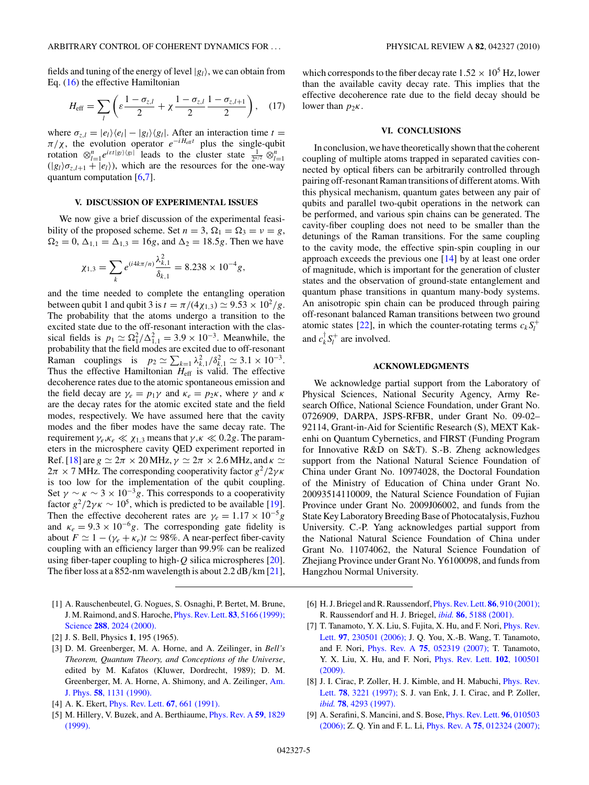<span id="page-4-0"></span>fields and tuning of the energy of level  $|g_l\rangle$ , we can obtain from Eq. [\(16\)](#page-3-0) the effective Hamiltonian

$$
H_{\rm eff} = \sum_{l} \left( \varepsilon \frac{1 - \sigma_{z,l}}{2} + \chi \frac{1 - \sigma_{z,l}}{2} \frac{1 - \sigma_{z,l+1}}{2} \right), \quad (17)
$$

where  $\sigma_{z,l} = |e_l\rangle\langle e_l| - |g_l\rangle\langle g_l|$ . After an interaction time  $t =$  $\pi/\chi$ , the evolution operator  $e^{-iH_{\text{eff}}}$  plus the single-qubit rotation  $\otimes_{l=1}^n e^{i\epsilon t |g_l\rangle\langle g_l|}$  leads to the cluster state  $\frac{1}{2^{n/2}} \otimes_{l=1}^n$  $(|g_l\rangle \sigma_{z,l+1} + |e_l\rangle)$ , which are the resources for the one-way quantum computation [6,7].

#### **V. DISCUSSION OF EXPERIMENTAL ISSUES**

We now give a brief discussion of the experimental feasibility of the proposed scheme. Set  $n = 3$ ,  $\Omega_1 = \Omega_3 = v = g$ ,  $\Omega_2 = 0, \, \Delta_{1,1} = \Delta_{1,3} = 16g, \, \text{and } \Delta_2 = 18.5g.$  Then we have

$$
\chi_{1,3} = \sum_{k} e^{(i4k\pi/n)} \frac{\lambda_{k,1}^2}{\delta_{k,1}} = 8.238 \times 10^{-4} g,
$$

and the time needed to complete the entangling operation between qubit 1 and qubit 3 is  $t = \pi/(4\chi_{1,3}) \approx 9.53 \times 10^2/g$ . The probability that the atoms undergo a transition to the excited state due to the off-resonant interaction with the classical fields is  $p_1 \simeq \Omega_1^2/\Delta_{1,1}^2 = 3.9 \times 10^{-3}$ . Meanwhile, the probability that the field modes are excited due to off-resonant Raman couplings is  $p_2 \simeq \sum_{k=1} \lambda_{k,1}^2/\delta_{k,1}^2 \simeq 3.1 \times 10^{-3}$ . Thus the effective Hamiltonian *H*eff is valid. The effective decoherence rates due to the atomic spontaneous emission and the field decay are  $\gamma_e = p_1 \gamma$  and  $\kappa_e = p_2 \kappa$ , where  $\gamma$  and  $\kappa$ are the decay rates for the atomic excited state and the field modes, respectively. We have assumed here that the cavity modes and the fiber modes have the same decay rate. The requirement  $\gamma_e, \kappa_e \ll \chi_{1,3}$  means that  $\gamma, \kappa \ll 0.2g$ . The parameters in the microsphere cavity QED experiment reported in Ref. [\[18\]](#page-5-0) are  $g \simeq 2\pi \times 20$  MHz,  $\gamma \simeq 2\pi \times 2.6$  MHz, and  $\kappa \simeq$  $2\pi \times 7$  MHz. The corresponding cooperativity factor  $g^2/2\gamma\kappa$ is too low for the implementation of the qubit coupling. Set  $\gamma \sim \kappa \sim 3 \times 10^{-3} g$ . This corresponds to a cooperativity factor  $g^2/2\gamma\kappa \sim 10^5$ , which is predicted to be available [\[19\]](#page-5-0). Then the effective decoherent rates are  $\gamma_e = 1.17 \times 10^{-5} g$ and  $\kappa_e = 9.3 \times 10^{-6} g$ . The corresponding gate fidelity is about  $F \simeq 1 - (\gamma_e + \kappa_e)t \simeq 98\%$ . A near-perfect fiber-cavity coupling with an efficiency larger than 99.9% can be realized using fiber-taper coupling to high-*Q* silica microspheres [\[20\]](#page-5-0). The fiber loss at a 852-nm wavelength is about 2.2 dB*/*km [\[21\]](#page-5-0),

- [1] A. Rauschenbeutel, G. Nogues, S. Osnaghi, P. Bertet, M. Brune, J. M. Raimond, and S. Haroche, [Phys. Rev. Lett.](http://dx.doi.org/10.1103/PhysRevLett.83.5166) **83**, 5166 (1999); Science **288**[, 2024 \(2000\).](http://dx.doi.org/10.1126/science.288.5473.2024)
- [2] J. S. Bell, Physics **1**, 195 (1965).
- [3] D. M. Greenberger, M. A. Horne, and A. Zeilinger, in *Bell's Theorem, Quantum Theory, and Conceptions of the Universe*, edited by M. Kafatos (Kluwer, Dordrecht, 1989); D. M. Greenberger, M. A. Horne, A. Shimony, and A. Zeilinger, [Am.](http://dx.doi.org/10.1119/1.16243) J. Phys. **58**[, 1131 \(1990\).](http://dx.doi.org/10.1119/1.16243)
- [4] A. K. Ekert, [Phys. Rev. Lett.](http://dx.doi.org/10.1103/PhysRevLett.67.661) **67**, 661 (1991).
- [5] M. Hillery, V. Buzek, and A. Berthiaume, [Phys. Rev. A](http://dx.doi.org/10.1103/PhysRevA.59.1829) **59**, 1829 [\(1999\).](http://dx.doi.org/10.1103/PhysRevA.59.1829)

which corresponds to the fiber decay rate  $1.52 \times 10^5$  Hz, lower than the available cavity decay rate. This implies that the effective decoherence rate due to the field decay should be lower than  $p_2\kappa$ .

### **VI. CONCLUSIONS**

In conclusion, we have theoretically shown that the coherent coupling of multiple atoms trapped in separated cavities connected by optical fibers can be arbitrarily controlled through pairing off-resonant Raman transitions of different atoms.With this physical mechanism, quantum gates between any pair of qubits and parallel two-qubit operations in the network can be performed, and various spin chains can be generated. The cavity-fiber coupling does not need to be smaller than the detunings of the Raman transitions. For the same coupling to the cavity mode, the effective spin-spin coupling in our approach exceeds the previous one [\[14\]](#page-5-0) by at least one order of magnitude, which is important for the generation of cluster states and the observation of ground-state entanglement and quantum phase transitions in quantum many-body systems. An anisotropic spin chain can be produced through pairing off-resonant balanced Raman transitions between two ground atomic states [\[22\]](#page-5-0), in which the counter-rotating terms  $c_k S_l^+$ and  $c_k^{\dagger} S_l^+$  are involved.

### **ACKNOWLEDGMENTS**

We acknowledge partial support from the Laboratory of Physical Sciences, National Security Agency, Army Research Office, National Science Foundation, under Grant No. 0726909, DARPA, JSPS-RFBR, under Grant No. 09-02– 92114, Grant-in-Aid for Scientific Research (S), MEXT Kakenhi on Quantum Cybernetics, and FIRST (Funding Program for Innovative R&D on S&T). S.-B. Zheng acknowledges support from the National Natural Science Foundation of China under Grant No. 10974028, the Doctoral Foundation of the Ministry of Education of China under Grant No. 20093514110009, the Natural Science Foundation of Fujian Province under Grant No. 2009J06002, and funds from the State Key Laboratory Breeding Base of Photocatalysis, Fuzhou University. C.-P. Yang acknowledges partial support from the National Natural Science Foundation of China under Grant No. 11074062, the Natural Science Foundation of Zhejiang Province under Grant No. Y6100098, and funds from Hangzhou Normal University.

- [6] H. J. Briegel and R. Raussendorf, [Phys. Rev. Lett.](http://dx.doi.org/10.1103/PhysRevLett.86.910) **86**, 910 (2001); R. Raussendorf and H. J. Briegel, *ibid.* **86**[, 5188 \(2001\).](http://dx.doi.org/10.1103/PhysRevLett.86.5188)
- [7] T. Tanamoto, Y. X. Liu, S. Fujita, X. Hu, and F. Nori, *[Phys. Rev.](http://dx.doi.org/10.1103/PhysRevLett.97.230501)* Lett. **97**[, 230501 \(2006\);](http://dx.doi.org/10.1103/PhysRevLett.97.230501) J. Q. You, X.-B. Wang, T. Tanamoto, and F. Nori, Phys. Rev. A **75**[, 052319 \(2007\);](http://dx.doi.org/10.1103/PhysRevA.75.052319) T. Tanamoto, Y. X. Liu, X. Hu, and F. Nori, [Phys. Rev. Lett.](http://dx.doi.org/10.1103/PhysRevLett.102.100501) **102**, 100501 [\(2009\).](http://dx.doi.org/10.1103/PhysRevLett.102.100501)
- [8] J. I. Cirac, P. Zoller, H. J. Kimble, and H. Mabuchi, *[Phys. Rev.](http://dx.doi.org/10.1103/PhysRevLett.78.3221)* Lett. **78**[, 3221 \(1997\);](http://dx.doi.org/10.1103/PhysRevLett.78.3221) S. J. van Enk, J. I. Cirac, and P. Zoller, *ibid.* **78**[, 4293 \(1997\).](http://dx.doi.org/10.1103/PhysRevLett.78.4293)
- [9] A. Serafini, S. Mancini, and S. Bose, [Phys. Rev. Lett.](http://dx.doi.org/10.1103/PhysRevLett.96.010503) **96**, 010503 [\(2006\);](http://dx.doi.org/10.1103/PhysRevLett.96.010503) Z. Q. Yin and F. L. Li, Phys. Rev. A **75**[, 012324 \(2007\);](http://dx.doi.org/10.1103/PhysRevA.75.012324)